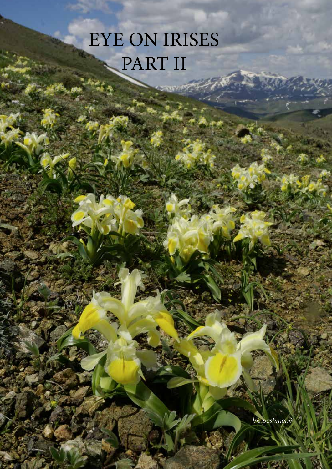## EYE ON IRISES PART II

*Iris peshmenii*

**RTA**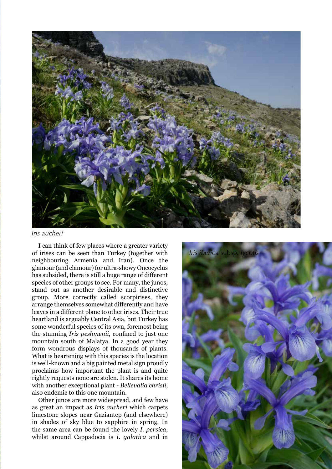

*Iris aucheri*

I can think of few places where a greater variety of irises can be seen than Turkey (together with neighbouring Armenia and Iran). Once the glamour (and clamour) for ultra-showy Oncocyclus has subsided, there is still a huge range of different species of other groups to see. For many, the junos, stand out as another desirable and distinctive group. More correctly called scorpirises, they arrange themselves somewhat differently and have leaves in a different plane to other irises. Their true heartland is arguably Central Asia, but Turkey has some wonderful species of its own, foremost being the stunning *Iris peshmenii*, confined to just one mountain south of Malatya. In a good year they form wondrous displays of thousands of plants. What is heartening with this species is the location is well-known and a big painted metal sign proudly proclaims how important the plant is and quite rightly requests none are stolen. It shares its home with another exceptional plant - *Bellevalia chrisii*, also endemic to this one mountain.

Other junos are more widespread, and few have as great an impact as *Iris aucheri* which carpets limestone slopes near Gaziantep (and elsewhere) in shades of sky blue to sapphire in spring. In the same area can be found the lovely *I. persica*, whilst around Cappadocia is *I. galatica* and in

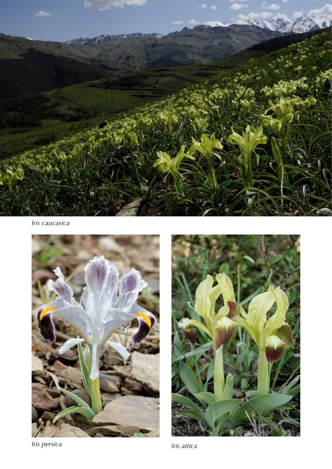

*Iris caucasica*



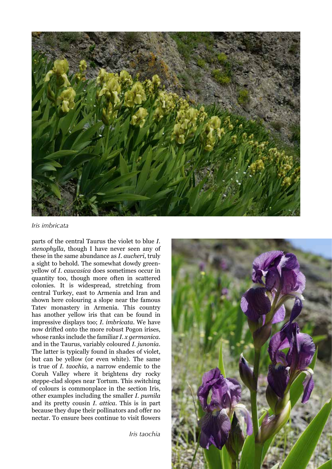

## *Iris imbricata*

parts of the central Taurus the violet to blue *I. stenophylla*, though I have never seen any of these in the same abundance as *I. aucheri*, truly a sight to behold. The somewhat dowdy greenyellow of *I. caucasica* does sometimes occur in quantity too, though more often in scattered colonies. It is widespread, stretching from central Turkey, east to Armenia and Iran and shown here colouring a slope near the famous Tatev monastery in Armenia. This country has another yellow iris that can be found in impressive displays too; *I. imbricata*. We have now drifted onto the more robust Pogon irises, whose ranks include the familiar *I. x germanica*. and in the Taurus, variably coloured *I. junonia*. The latter is typically found in shades of violet, but can be yellow (or even white). The same is true of *I. taochia*, a narrow endemic to the Coruh Valley where it brightens dry rocky steppe-clad slopes near Tortum. This switching of colours is commonplace in the section Iris, other examples including the smaller *I. pumila* and its pretty cousin *I. attica*. This is in part because they dupe their pollinators and offer no nectar. To ensure bees continue to visit flowers

*Iris taochia*

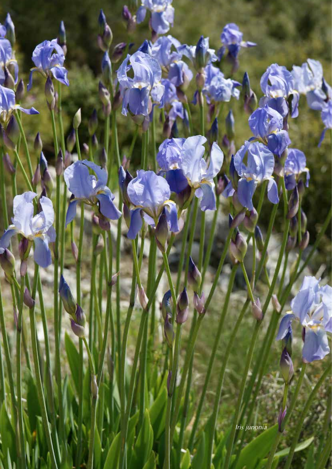*Iris junonia*